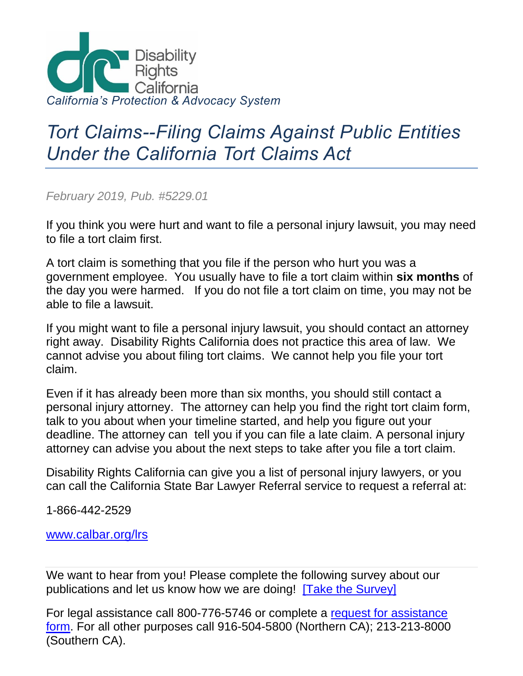

## *Tort Claims--Filing Claims Against Public Entities Under the California Tort Claims Act*

*February 2019, Pub. #5229.01*

If you think you were hurt and want to file a personal injury lawsuit, you may need to file a tort claim first.

A tort claim is something that you file if the person who hurt you was a government employee. You usually have to file a tort claim within **six months** of the day you were harmed. If you do not file a tort claim on time, you may not be able to file a lawsuit.

If you might want to file a personal injury lawsuit, you should contact an attorney right away. Disability Rights California does not practice this area of law. We cannot advise you about filing tort claims. We cannot help you file your tort claim.

Even if it has already been more than six months, you should still contact a personal injury attorney. The attorney can help you find the right tort claim form, talk to you about when your timeline started, and help you figure out your deadline. The attorney can tell you if you can file a late claim. A personal injury attorney can advise you about the next steps to take after you file a tort claim.

Disability Rights California can give you a list of personal injury lawyers, or you can call the California State Bar Lawyer Referral service to request a referral at:

1-866-442-2529

[www.calbar.org/lrs](http://www.calbar.org/lrs)

We want to hear from you! Please complete the following survey about our publications and let us know how we are doing! [\[Take the Survey\]](https://docs.google.com/forms/d/1d6ezTl2M5UMAWU66exLbc1SQ9wDPzvtuS3AGR4-cgwE/viewform?c=0&w=1)

For legal assistance call 800-776-5746 or complete a [request for assistance](https://goo.gl/fssd0G)  [form.](https://goo.gl/fssd0G) For all other purposes call 916-504-5800 (Northern CA); 213-213-8000 (Southern CA).